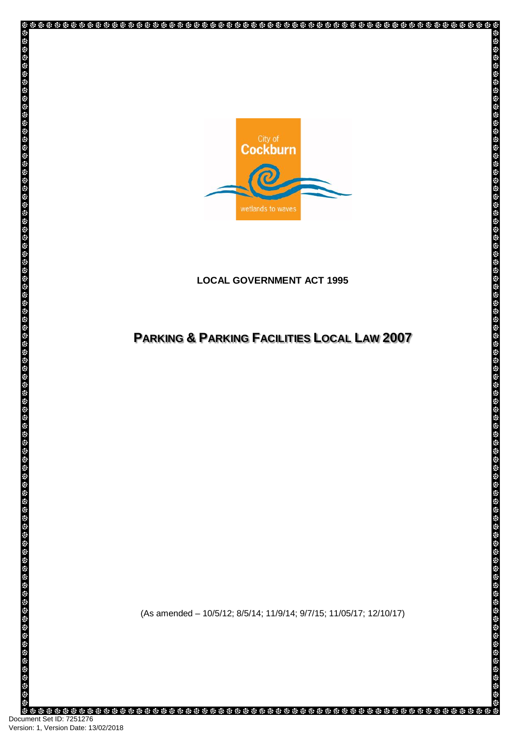

# **LOCAL GOVERNMENT ACT 1995**

# **PARKING & PARKING FACILITIES LOCAL LAW 2007**

**IS** 

(As amended – 10/5/12; 8/5/14; 11/9/14; 9/7/15; 11/05/17; 12/10/17)

Document Set ID: 7251276<br>Version: 1, Version Date: 13/02/2018

ğ,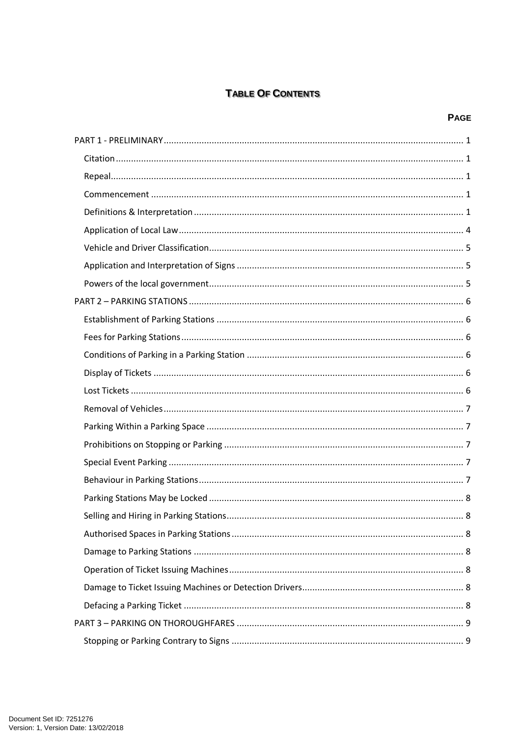# **TABLE OF CONTENTS**

# **PAGE**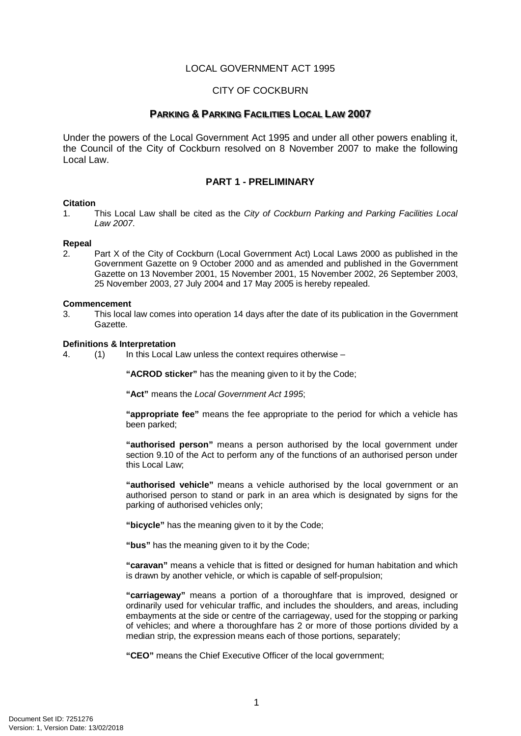# LOCAL GOVERNMENT ACT 1995

## CITY OF COCKBURN

# **PARKING & PARKING FACILITIES LOCAL LAW 2007**

Under the powers of the Local Government Act 1995 and under all other powers enabling it, the Council of the City of Cockburn resolved on 8 November 2007 to make the following Local Law.

## **PART 1 - PRELIMINARY**

#### <span id="page-4-1"></span><span id="page-4-0"></span>**Citation**

1. This Local Law shall be cited as the *City of Cockburn Parking and Parking Facilities Local Law 2007*.

#### <span id="page-4-2"></span>**Repeal**

2. Part X of the City of Cockburn (Local Government Act) Local Laws 2000 as published in the Government Gazette on 9 October 2000 and as amended and published in the Government Gazette on 13 November 2001, 15 November 2001, 15 November 2002, 26 September 2003, 25 November 2003, 27 July 2004 and 17 May 2005 is hereby repealed.

#### <span id="page-4-3"></span>**Commencement**

3. This local law comes into operation 14 days after the date of its publication in the Government Gazette.

# <span id="page-4-4"></span>**Definitions & Interpretation**<br>4 (1) In this Local I

 $(1)$  In this Local Law unless the context requires otherwise –

**"ACROD sticker"** has the meaning given to it by the Code;

**"Act"** means the *Local Government Act 1995*;

**"appropriate fee"** means the fee appropriate to the period for which a vehicle has been parked;

**"authorised person"** means a person authorised by the local government under section 9.10 of the Act to perform any of the functions of an authorised person under this Local Law;

**"authorised vehicle"** means a vehicle authorised by the local government or an authorised person to stand or park in an area which is designated by signs for the parking of authorised vehicles only;

**"bicycle"** has the meaning given to it by the Code;

**"bus"** has the meaning given to it by the Code;

**"caravan"** means a vehicle that is fitted or designed for human habitation and which is drawn by another vehicle, or which is capable of self-propulsion;

**"carriageway"** means a portion of a thoroughfare that is improved, designed or ordinarily used for vehicular traffic, and includes the shoulders, and areas, including embayments at the side or centre of the carriageway, used for the stopping or parking of vehicles; and where a thoroughfare has 2 or more of those portions divided by a median strip, the expression means each of those portions, separately;

**"CEO"** means the Chief Executive Officer of the local government;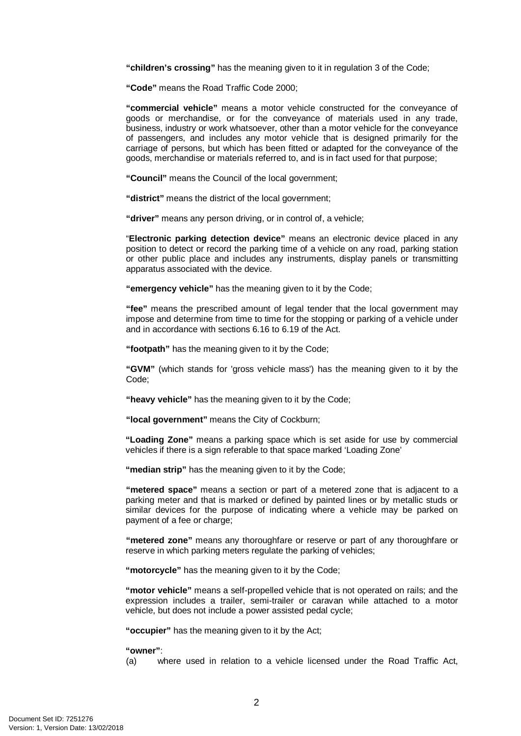**"children's crossing"** has the meaning given to it in regulation 3 of the Code;

**"Code"** means the Road Traffic Code 2000;

**"commercial vehicle"** means a motor vehicle constructed for the conveyance of goods or merchandise, or for the conveyance of materials used in any trade, business, industry or work whatsoever, other than a motor vehicle for the conveyance of passengers, and includes any motor vehicle that is designed primarily for the carriage of persons, but which has been fitted or adapted for the conveyance of the goods, merchandise or materials referred to, and is in fact used for that purpose;

**"Council"** means the Council of the local government;

**"district"** means the district of the local government;

**"driver"** means any person driving, or in control of, a vehicle;

"**Electronic parking detection device"** means an electronic device placed in any position to detect or record the parking time of a vehicle on any road, parking station or other public place and includes any instruments, display panels or transmitting apparatus associated with the device.

**"emergency vehicle"** has the meaning given to it by the Code;

**"fee"** means the prescribed amount of legal tender that the local government may impose and determine from time to time for the stopping or parking of a vehicle under and in accordance with sections 6.16 to 6.19 of the Act.

**"footpath"** has the meaning given to it by the Code;

**"GVM"** (which stands for 'gross vehicle mass') has the meaning given to it by the Code;

**"heavy vehicle"** has the meaning given to it by the Code;

**"local government"** means the City of Cockburn;

**"Loading Zone"** means a parking space which is set aside for use by commercial vehicles if there is a sign referable to that space marked 'Loading Zone'

**"median strip"** has the meaning given to it by the Code;

**"metered space"** means a section or part of a metered zone that is adjacent to a parking meter and that is marked or defined by painted lines or by metallic studs or similar devices for the purpose of indicating where a vehicle may be parked on payment of a fee or charge:

**"metered zone"** means any thoroughfare or reserve or part of any thoroughfare or reserve in which parking meters regulate the parking of vehicles;

**"motorcycle"** has the meaning given to it by the Code;

**"motor vehicle"** means a self-propelled vehicle that is not operated on rails; and the expression includes a trailer, semi-trailer or caravan while attached to a motor vehicle, but does not include a power assisted pedal cycle;

**"occupier"** has the meaning given to it by the Act;

**"owner"**:

(a) where used in relation to a vehicle licensed under the Road Traffic Act,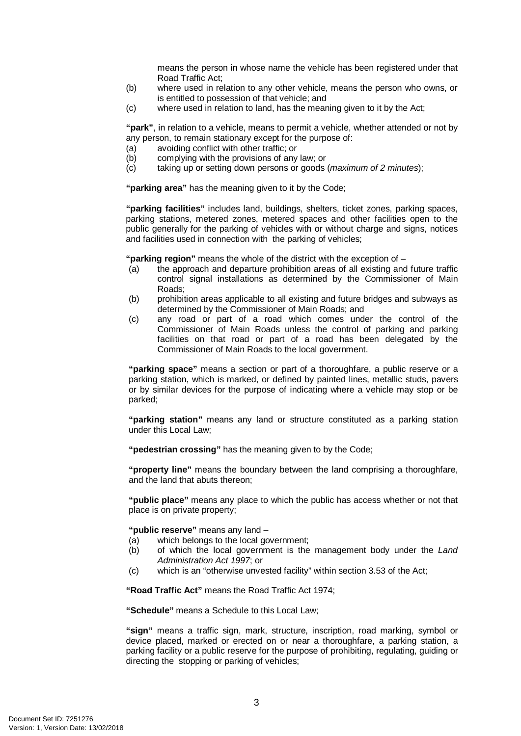means the person in whose name the vehicle has been registered under that Road Traffic Act;

- (b) where used in relation to any other vehicle, means the person who owns, or is entitled to possession of that vehicle; and
- (c) where used in relation to land, has the meaning given to it by the Act;

**"park"**, in relation to a vehicle, means to permit a vehicle, whether attended or not by any person, to remain stationary except for the purpose of:

- (a) avoiding conflict with other traffic; or<br>(b) complying with the provisions of any
- complying with the provisions of any law; or
- (c) taking up or setting down persons or goods (*maximum of 2 minutes*);

**"parking area"** has the meaning given to it by the Code;

**"parking facilities"** includes land, buildings, shelters, ticket zones, parking spaces, parking stations, metered zones, metered spaces and other facilities open to the public generally for the parking of vehicles with or without charge and signs, notices and facilities used in connection with the parking of vehicles;

**"parking region"** means the whole of the district with the exception of –

- (a) the approach and departure prohibition areas of all existing and future traffic control signal installations as determined by the Commissioner of Main Roads;
- (b) prohibition areas applicable to all existing and future bridges and subways as determined by the Commissioner of Main Roads; and
- (c) any road or part of a road which comes under the control of the Commissioner of Main Roads unless the control of parking and parking facilities on that road or part of a road has been delegated by the Commissioner of Main Roads to the local government.

**"parking space"** means a section or part of a thoroughfare, a public reserve or a parking station, which is marked, or defined by painted lines, metallic studs, pavers or by similar devices for the purpose of indicating where a vehicle may stop or be parked;

**"parking station"** means any land or structure constituted as a parking station under this Local Law;

**"pedestrian crossing"** has the meaning given to by the Code;

**"property line"** means the boundary between the land comprising a thoroughfare, and the land that abuts thereon;

**"public place"** means any place to which the public has access whether or not that place is on private property;

**"public reserve"** means any land –

- (a) which belongs to the local government;<br>(b) of which the local government is the
- (b) of which the local government is the management body under the *Land Administration Act 1997*; or
- (c) which is an "otherwise unvested facility" within section 3.53 of the Act;

**"Road Traffic Act"** means the Road Traffic Act 1974;

**"Schedule"** means a Schedule to this Local Law;

**"sign"** means a traffic sign, mark, structure, inscription, road marking, symbol or device placed, marked or erected on or near a thoroughfare, a parking station, a parking facility or a public reserve for the purpose of prohibiting, regulating, guiding or directing the stopping or parking of vehicles;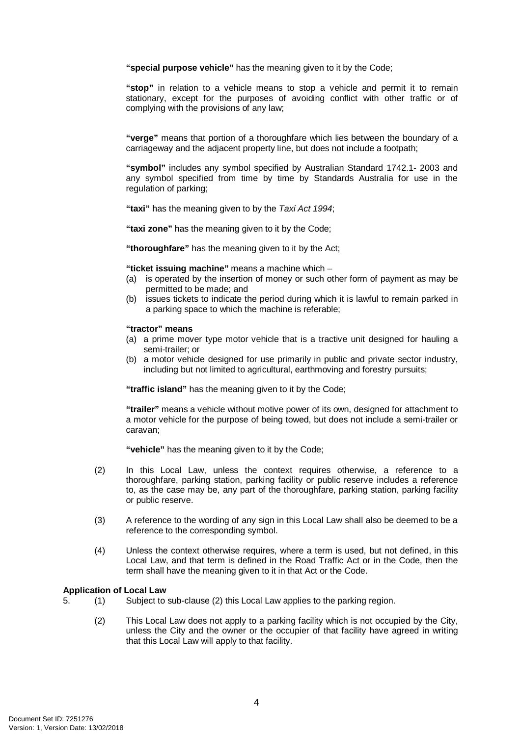**"special purpose vehicle"** has the meaning given to it by the Code;

**"stop"** in relation to a vehicle means to stop a vehicle and permit it to remain stationary, except for the purposes of avoiding conflict with other traffic or of complying with the provisions of any law;

**"verge"** means that portion of a thoroughfare which lies between the boundary of a carriageway and the adjacent property line, but does not include a footpath;

**"symbol"** includes any symbol specified by Australian Standard 1742.1- 2003 and any symbol specified from time by time by Standards Australia for use in the regulation of parking;

**"taxi"** has the meaning given to by the *Taxi Act 1994*;

**"taxi zone"** has the meaning given to it by the Code;

**"thoroughfare"** has the meaning given to it by the Act;

**"ticket issuing machine"** means a machine which –

- (a) is operated by the insertion of money or such other form of payment as may be permitted to be made; and
- (b) issues tickets to indicate the period during which it is lawful to remain parked in a parking space to which the machine is referable;

#### **"tractor" means**

- (a) a prime mover type motor vehicle that is a tractive unit designed for hauling a semi-trailer; or
- (b) a motor vehicle designed for use primarily in public and private sector industry, including but not limited to agricultural, earthmoving and forestry pursuits;

**"traffic island"** has the meaning given to it by the Code;

**"trailer"** means a vehicle without motive power of its own, designed for attachment to a motor vehicle for the purpose of being towed, but does not include a semi-trailer or caravan;

**"vehicle"** has the meaning given to it by the Code;

- (2) In this Local Law, unless the context requires otherwise, a reference to a thoroughfare, parking station, parking facility or public reserve includes a reference to, as the case may be, any part of the thoroughfare, parking station, parking facility or public reserve.
- (3) A reference to the wording of any sign in this Local Law shall also be deemed to be a reference to the corresponding symbol.
- (4) Unless the context otherwise requires, where a term is used, but not defined, in this Local Law, and that term is defined in the Road Traffic Act or in the Code, then the term shall have the meaning given to it in that Act or the Code.

### <span id="page-7-0"></span>**Application of Local Law**

- 5. (1) Subject to sub-clause (2) this Local Law applies to the parking region.
	- (2) This Local Law does not apply to a parking facility which is not occupied by the City, unless the City and the owner or the occupier of that facility have agreed in writing that this Local Law will apply to that facility.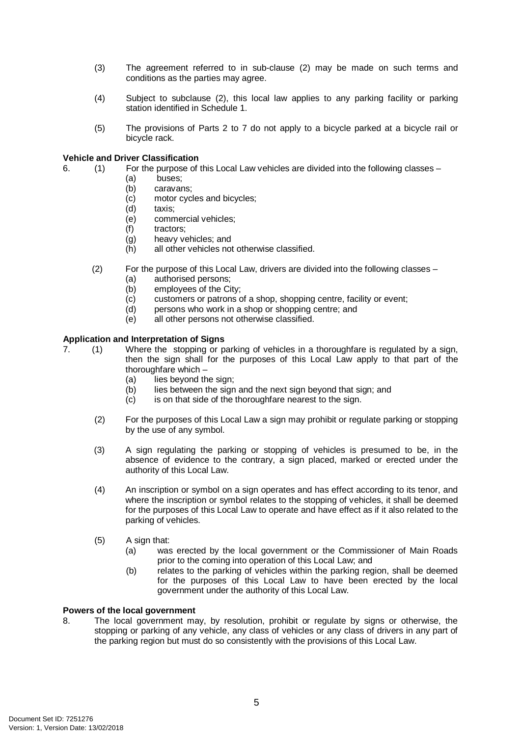- (3) The agreement referred to in sub-clause (2) may be made on such terms and conditions as the parties may agree.
- (4) Subject to subclause (2), this local law applies to any parking facility or parking station identified in Schedule 1.
- (5) The provisions of Parts 2 to 7 do not apply to a bicycle parked at a bicycle rail or bicycle rack.

### <span id="page-8-0"></span>**Vehicle and Driver Classification**

- 6. (1) For the purpose of this Local Law vehicles are divided into the following classes
	- (a) buses;
		- (b) caravans;
		- (c) motor cycles and bicycles;<br>(d) taxis:
		- taxis;
		- (e) commercial vehicles;
		- (f) tractors;
		- (g) heavy vehicles; and
		- (h) all other vehicles not otherwise classified.
	- (2) For the purpose of this Local Law, drivers are divided into the following classes
		- (a) authorised persons;
		- (b) employees of the City;
		- (c) customers or patrons of a shop, shopping centre, facility or event;
		- (d) persons who work in a shop or shopping centre; and
		- (e) all other persons not otherwise classified.

### <span id="page-8-1"></span>**Application and Interpretation of Signs**

- 7. (1) Where the stopping or parking of vehicles in a thoroughfare is regulated by a sign, then the sign shall for the purposes of this Local Law apply to that part of the thoroughfare which –
	- $(a)$  lies beyond the sign:
	- (b) lies between the sign and the next sign beyond that sign; and
	- (c) is on that side of the thoroughfare nearest to the sign.
	- (2) For the purposes of this Local Law a sign may prohibit or regulate parking or stopping by the use of any symbol.
	- (3) A sign regulating the parking or stopping of vehicles is presumed to be, in the absence of evidence to the contrary, a sign placed, marked or erected under the authority of this Local Law.
	- (4) An inscription or symbol on a sign operates and has effect according to its tenor, and where the inscription or symbol relates to the stopping of vehicles, it shall be deemed for the purposes of this Local Law to operate and have effect as if it also related to the parking of vehicles.
	- (5) A sign that:
		- (a) was erected by the local government or the Commissioner of Main Roads prior to the coming into operation of this Local Law; and
		- (b) relates to the parking of vehicles within the parking region, shall be deemed for the purposes of this Local Law to have been erected by the local government under the authority of this Local Law.

### <span id="page-8-2"></span>**Powers of the local government**

8. The local government may, by resolution, prohibit or regulate by signs or otherwise, the stopping or parking of any vehicle, any class of vehicles or any class of drivers in any part of the parking region but must do so consistently with the provisions of this Local Law.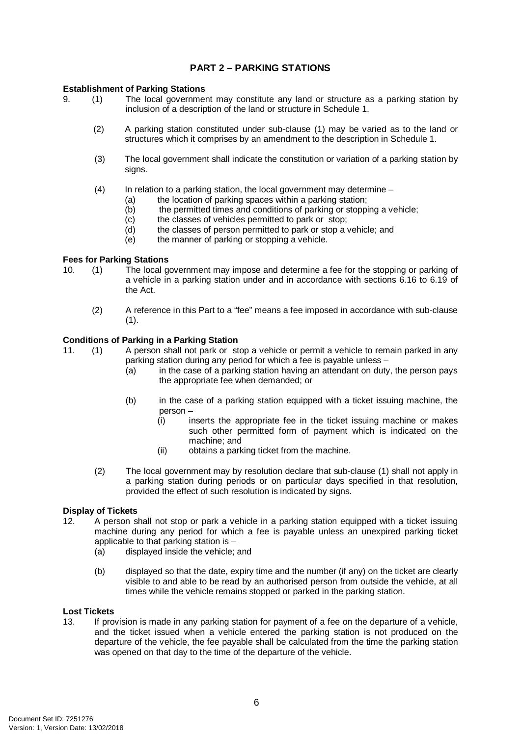# **PART 2 – PARKING STATIONS**

### <span id="page-9-1"></span><span id="page-9-0"></span>**Establishment of Parking Stations**

- 9. (1) The local government may constitute any land or structure as a parking station by inclusion of a description of the land or structure in Schedule 1.
	- (2) A parking station constituted under sub-clause (1) may be varied as to the land or structures which it comprises by an amendment to the description in Schedule 1.
	- (3) The local government shall indicate the constitution or variation of a parking station by sians.
	- $(4)$  In relation to a parking station, the local government may determine
		- (a) the location of parking spaces within a parking station;
		- (b) the permitted times and conditions of parking or stopping a vehicle;
		- (c) the classes of vehicles permitted to park or stop;<br>(d) the classes of person permitted to park or stop a v
		- the classes of person permitted to park or stop a vehicle; and
		- $(e)$  the manner of parking or stopping a vehicle.

#### <span id="page-9-2"></span>**Fees for Parking Stations**

- 10. (1) The local government may impose and determine a fee for the stopping or parking of a vehicle in a parking station under and in accordance with sections 6.16 to 6.19 of the Act.
	- (2) A reference in this Part to a "fee" means a fee imposed in accordance with sub-clause  $(1).$

# <span id="page-9-3"></span>**Conditions of Parking in a Parking Station**<br>11. (1) A person shall not park or st

11. (1) A person shall not park or stop a vehicle or permit a vehicle to remain parked in any parking station during any period for which a fee is payable unless –

- (a) in the case of a parking station having an attendant on duty, the person pays the appropriate fee when demanded; or
- (b) in the case of a parking station equipped with a ticket issuing machine, the person –
	- (i) inserts the appropriate fee in the ticket issuing machine or makes such other permitted form of payment which is indicated on the machine; and
	- (ii) obtains a parking ticket from the machine.
- (2) The local government may by resolution declare that sub-clause (1) shall not apply in a parking station during periods or on particular days specified in that resolution, provided the effect of such resolution is indicated by signs.

# <span id="page-9-4"></span>**Display of Tickets**<br>12. A person s

- 12. A person shall not stop or park a vehicle in a parking station equipped with a ticket issuing machine during any period for which a fee is payable unless an unexpired parking ticket applicable to that parking station is –
	- (a) displayed inside the vehicle; and
	- (b) displayed so that the date, expiry time and the number (if any) on the ticket are clearly visible to and able to be read by an authorised person from outside the vehicle, at all times while the vehicle remains stopped or parked in the parking station.

# <span id="page-9-5"></span>**Lost Tickets**<br>13 If prov

If provision is made in any parking station for payment of a fee on the departure of a vehicle, and the ticket issued when a vehicle entered the parking station is not produced on the departure of the vehicle, the fee payable shall be calculated from the time the parking station was opened on that day to the time of the departure of the vehicle.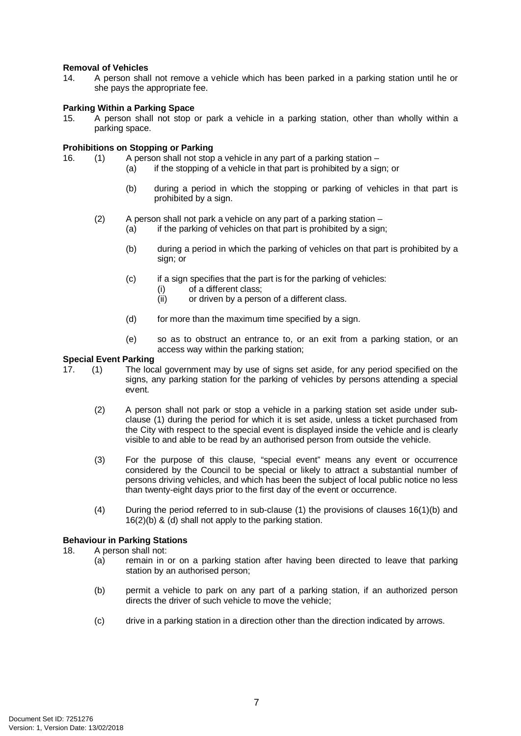### <span id="page-10-0"></span>**Removal of Vehicles**

14. A person shall not remove a vehicle which has been parked in a parking station until he or she pays the appropriate fee.

### <span id="page-10-1"></span>**Parking Within a Parking Space**

15. A person shall not stop or park a vehicle in a parking station, other than wholly within a parking space.

# <span id="page-10-2"></span>**Prohibitions on Stopping or Parking**<br>16. (1) A person shall not stop

- (1) A person shall not stop a vehicle in any part of a parking station
	- (a) if the stopping of a vehicle in that part is prohibited by a sign; or
		- (b) during a period in which the stopping or parking of vehicles in that part is prohibited by a sign.
	- (2) A person shall not park a vehicle on any part of a parking station
		- (a) if the parking of vehicles on that part is prohibited by a sign;
		- (b) during a period in which the parking of vehicles on that part is prohibited by a sign; or
		- (c) if a sign specifies that the part is for the parking of vehicles:
			- (i) of a different class;
			- (ii) or driven by a person of a different class.
		- (d) for more than the maximum time specified by a sign.
		- (e) so as to obstruct an entrance to, or an exit from a parking station, or an access way within the parking station;

# <span id="page-10-3"></span>**Special Event Parking**<br>17. (1) The loc

- 17. (1) The local government may by use of signs set aside, for any period specified on the signs, any parking station for the parking of vehicles by persons attending a special event.
	- (2) A person shall not park or stop a vehicle in a parking station set aside under subclause (1) during the period for which it is set aside, unless a ticket purchased from the City with respect to the special event is displayed inside the vehicle and is clearly visible to and able to be read by an authorised person from outside the vehicle.
	- (3) For the purpose of this clause, "special event" means any event or occurrence considered by the Council to be special or likely to attract a substantial number of persons driving vehicles, and which has been the subject of local public notice no less than twenty-eight days prior to the first day of the event or occurrence.
	- (4) During the period referred to in sub-clause (1) the provisions of clauses 16(1)(b) and 16(2)(b) & (d) shall not apply to the parking station.

## <span id="page-10-4"></span>**Behaviour in Parking Stations**

### 18. A person shall not:

- (a) remain in or on a parking station after having been directed to leave that parking station by an authorised person;
- (b) permit a vehicle to park on any part of a parking station, if an authorized person directs the driver of such vehicle to move the vehicle;
- (c) drive in a parking station in a direction other than the direction indicated by arrows.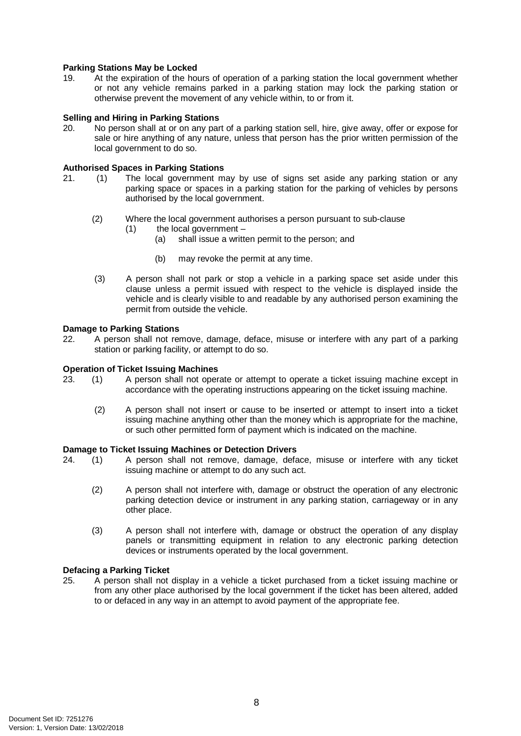### <span id="page-11-0"></span>**Parking Stations May be Locked**

19. At the expiration of the hours of operation of a parking station the local government whether or not any vehicle remains parked in a parking station may lock the parking station or otherwise prevent the movement of any vehicle within, to or from it.

# <span id="page-11-1"></span>**Selling and Hiring in Parking Stations**<br>20. No person shall at or on any par

No person shall at or on any part of a parking station sell, hire, give away, offer or expose for sale or hire anything of any nature, unless that person has the prior written permission of the local government to do so.

### <span id="page-11-2"></span>**Authorised Spaces in Parking Stations**

- 21. (1) The local government may by use of signs set aside any parking station or any parking space or spaces in a parking station for the parking of vehicles by persons authorised by the local government.
	- (2) Where the local government authorises a person pursuant to sub-clause
		- $(1)$  the local government
			- (a) shall issue a written permit to the person; and
			- (b) may revoke the permit at any time.
	- (3) A person shall not park or stop a vehicle in a parking space set aside under this clause unless a permit issued with respect to the vehicle is displayed inside the vehicle and is clearly visible to and readable by any authorised person examining the permit from outside the vehicle.

# <span id="page-11-3"></span>**Damage to Parking Stations**<br>22. A person shall not real

A person shall not remove, damage, deface, misuse or interfere with any part of a parking station or parking facility, or attempt to do so.

#### <span id="page-11-4"></span>**Operation of Ticket Issuing Machines**

- 23. (1) A person shall not operate or attempt to operate a ticket issuing machine except in accordance with the operating instructions appearing on the ticket issuing machine.
	- (2) A person shall not insert or cause to be inserted or attempt to insert into a ticket issuing machine anything other than the money which is appropriate for the machine, or such other permitted form of payment which is indicated on the machine.

#### <span id="page-11-5"></span>**Damage to Ticket Issuing Machines or Detection Drivers**

- 24. (1) A person shall not remove, damage, deface, misuse or interfere with any ticket issuing machine or attempt to do any such act.
	- (2) A person shall not interfere with, damage or obstruct the operation of any electronic parking detection device or instrument in any parking station, carriageway or in any other place.
	- (3) A person shall not interfere with, damage or obstruct the operation of any display panels or transmitting equipment in relation to any electronic parking detection devices or instruments operated by the local government.

#### <span id="page-11-6"></span>**Defacing a Parking Ticket**

25. A person shall not display in a vehicle a ticket purchased from a ticket issuing machine or from any other place authorised by the local government if the ticket has been altered, added to or defaced in any way in an attempt to avoid payment of the appropriate fee.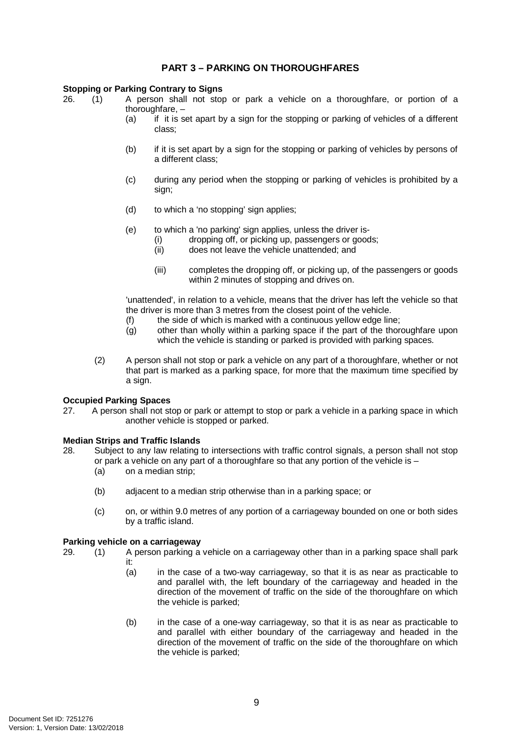# **PART 3 – PARKING ON THOROUGHFARES**

### <span id="page-12-1"></span><span id="page-12-0"></span>**Stopping or Parking Contrary to Signs**

26. (1) A person shall not stop or park a vehicle on a thoroughfare, or portion of a thoroughfare,  $-$ <br>(a) if it is s

- if it is set apart by a sign for the stopping or parking of vehicles of a different class;
- (b) if it is set apart by a sign for the stopping or parking of vehicles by persons of a different class;
- (c) during any period when the stopping or parking of vehicles is prohibited by a sign;
- (d) to which a 'no stopping' sign applies;
- (e) to which a 'no parking' sign applies, unless the driver is-
	- (i) dropping off, or picking up, passengers or goods;
		- (ii) does not leave the vehicle unattended; and
		- (iii) completes the dropping off, or picking up, of the passengers or goods within 2 minutes of stopping and drives on.

'unattended', in relation to a vehicle, means that the driver has left the vehicle so that the driver is more than 3 metres from the closest point of the vehicle.

- $(f)$  the side of which is marked with a continuous yellow edge line;
- (g) other than wholly within a parking space if the part of the thoroughfare upon which the vehicle is standing or parked is provided with parking spaces.
- (2) A person shall not stop or park a vehicle on any part of a thoroughfare, whether or not that part is marked as a parking space, for more that the maximum time specified by a sign.

# <span id="page-12-2"></span>**Occupied Parking Spaces**<br>27 A person shall not st

A person shall not stop or park or attempt to stop or park a vehicle in a parking space in which another vehicle is stopped or parked.

### <span id="page-12-3"></span>**Median Strips and Traffic Islands**

- 28. Subject to any law relating to intersections with traffic control signals, a person shall not stop or park a vehicle on any part of a thoroughfare so that any portion of the vehicle is  $-$ 
	- (a) on a median strip;
	- (b) adjacent to a median strip otherwise than in a parking space; or
	- (c) on, or within 9.0 metres of any portion of a carriageway bounded on one or both sides by a traffic island.

#### <span id="page-12-4"></span>**Parking vehicle on a carriageway**

- 29. (1) A person parking a vehicle on a carriageway other than in a parking space shall park it:
	- (a) in the case of a two-way carriageway, so that it is as near as practicable to and parallel with, the left boundary of the carriageway and headed in the direction of the movement of traffic on the side of the thoroughfare on which the vehicle is parked;
	- (b) in the case of a one-way carriageway, so that it is as near as practicable to and parallel with either boundary of the carriageway and headed in the direction of the movement of traffic on the side of the thoroughfare on which the vehicle is parked;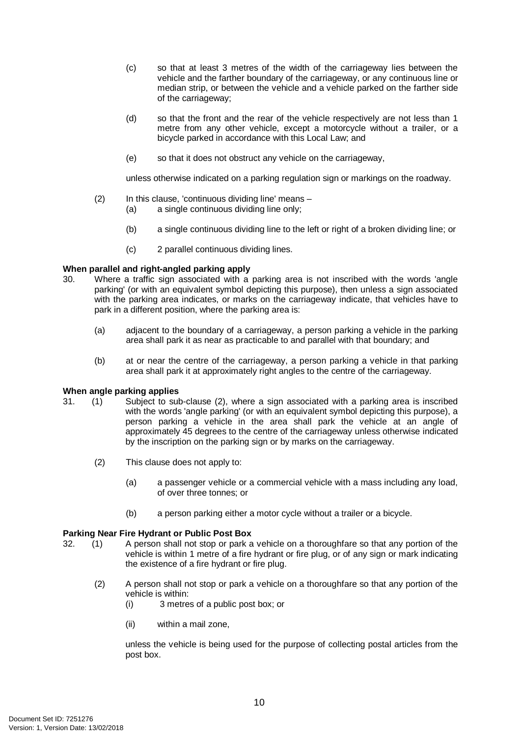- (c) so that at least 3 metres of the width of the carriageway lies between the vehicle and the farther boundary of the carriageway, or any continuous line or median strip, or between the vehicle and a vehicle parked on the farther side of the carriageway;
- (d) so that the front and the rear of the vehicle respectively are not less than 1 metre from any other vehicle, except a motorcycle without a trailer, or a bicycle parked in accordance with this Local Law; and
- (e) so that it does not obstruct any vehicle on the carriageway,

unless otherwise indicated on a parking regulation sign or markings on the roadway.

- (2) In this clause, 'continuous dividing line' means (a) a single continuous dividing line only;
	- (b) a single continuous dividing line to the left or right of a broken dividing line; or
	- (c) 2 parallel continuous dividing lines.

### <span id="page-13-0"></span>**When parallel and right-angled parking apply**

- 30. Where a traffic sign associated with a parking area is not inscribed with the words 'angle parking' (or with an equivalent symbol depicting this purpose), then unless a sign associated with the parking area indicates, or marks on the carriageway indicate, that vehicles have to park in a different position, where the parking area is:
	- (a) adjacent to the boundary of a carriageway, a person parking a vehicle in the parking area shall park it as near as practicable to and parallel with that boundary; and
	- (b) at or near the centre of the carriageway, a person parking a vehicle in that parking area shall park it at approximately right angles to the centre of the carriageway.

# <span id="page-13-1"></span>**When angle parking applies**<br>31. (1) Subject to sub

- 31. (1) Subject to sub-clause (2), where a sign associated with a parking area is inscribed with the words 'angle parking' (or with an equivalent symbol depicting this purpose), a person parking a vehicle in the area shall park the vehicle at an angle of approximately 45 degrees to the centre of the carriageway unless otherwise indicated by the inscription on the parking sign or by marks on the carriageway.
	- (2) This clause does not apply to:
		- (a) a passenger vehicle or a commercial vehicle with a mass including any load, of over three tonnes; or
		- (b) a person parking either a motor cycle without a trailer or a bicycle.

### <span id="page-13-2"></span>**Parking Near Fire Hydrant or Public Post Box**

- 32. (1) A person shall not stop or park a vehicle on a thoroughfare so that any portion of the vehicle is within 1 metre of a fire hydrant or fire plug, or of any sign or mark indicating the existence of a fire hydrant or fire plug.
	- (2) A person shall not stop or park a vehicle on a thoroughfare so that any portion of the vehicle is within:
		- (i) 3 metres of a public post box; or
		- (ii) within a mail zone,

unless the vehicle is being used for the purpose of collecting postal articles from the post box.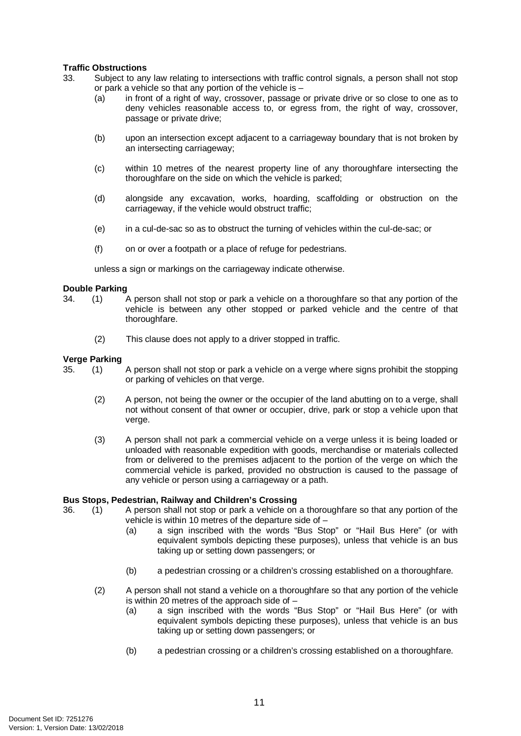## <span id="page-14-0"></span>**Traffic Obstructions**

- 33. Subject to any law relating to intersections with traffic control signals, a person shall not stop or park a vehicle so that any portion of the vehicle is –
	- (a) in front of a right of way, crossover, passage or private drive or so close to one as to deny vehicles reasonable access to, or egress from, the right of way, crossover, passage or private drive;
	- (b) upon an intersection except adjacent to a carriageway boundary that is not broken by an intersecting carriageway;
	- (c) within 10 metres of the nearest property line of any thoroughfare intersecting the thoroughfare on the side on which the vehicle is parked;
	- (d) alongside any excavation, works, hoarding, scaffolding or obstruction on the carriageway, if the vehicle would obstruct traffic;
	- (e) in a cul-de-sac so as to obstruct the turning of vehicles within the cul-de-sac; or
	- (f) on or over a footpath or a place of refuge for pedestrians.

unless a sign or markings on the carriageway indicate otherwise.

#### <span id="page-14-1"></span>**Double Parking**

- 34. (1) A person shall not stop or park a vehicle on a thoroughfare so that any portion of the vehicle is between any other stopped or parked vehicle and the centre of that thoroughfare.
	- (2) This clause does not apply to a driver stopped in traffic.

# <span id="page-14-2"></span>**Verge Parking**<br>35. (1)

- 35. (1) A person shall not stop or park a vehicle on a verge where signs prohibit the stopping or parking of vehicles on that verge.
	- (2) A person, not being the owner or the occupier of the land abutting on to a verge, shall not without consent of that owner or occupier, drive, park or stop a vehicle upon that verge.
	- (3) A person shall not park a commercial vehicle on a verge unless it is being loaded or unloaded with reasonable expedition with goods, merchandise or materials collected from or delivered to the premises adjacent to the portion of the verge on which the commercial vehicle is parked, provided no obstruction is caused to the passage of any vehicle or person using a carriageway or a path.

# <span id="page-14-3"></span>**Bus Stops, Pedestrian, Railway and Children's Crossing**<br>36. (1) A person shall not stop or park a vehicle on

- A person shall not stop or park a vehicle on a thoroughfare so that any portion of the vehicle is within 10 metres of the departure side of –
	- (a) a sign inscribed with the words "Bus Stop" or "Hail Bus Here" (or with equivalent symbols depicting these purposes), unless that vehicle is an bus taking up or setting down passengers; or
	- (b) a pedestrian crossing or a children's crossing established on a thoroughfare.
	- (2) A person shall not stand a vehicle on a thoroughfare so that any portion of the vehicle is within 20 metres of the approach side of  $-$ 
		- (a) a sign inscribed with the words "Bus Stop" or "Hail Bus Here" (or with equivalent symbols depicting these purposes), unless that vehicle is an bus taking up or setting down passengers; or
		- (b) a pedestrian crossing or a children's crossing established on a thoroughfare.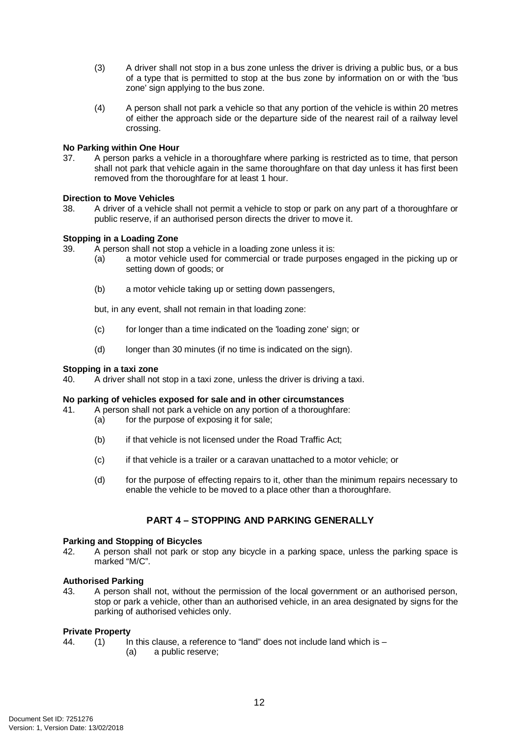- (3) A driver shall not stop in a bus zone unless the driver is driving a public bus, or a bus of a type that is permitted to stop at the bus zone by information on or with the 'bus zone' sign applying to the bus zone.
- (4) A person shall not park a vehicle so that any portion of the vehicle is within 20 metres of either the approach side or the departure side of the nearest rail of a railway level crossing.

# <span id="page-15-0"></span>**No Parking within One Hour**<br>37. A person parks a vehi

37. A person parks a vehicle in a thoroughfare where parking is restricted as to time, that person shall not park that vehicle again in the same thoroughfare on that day unless it has first been removed from the thoroughfare for at least 1 hour.

## <span id="page-15-1"></span>**Direction to Move Vehicles**

38. A driver of a vehicle shall not permit a vehicle to stop or park on any part of a thoroughfare or public reserve, if an authorised person directs the driver to move it.

# <span id="page-15-2"></span>**Stopping in a Loading Zone**<br>39 A person shall not stop

A person shall not stop a vehicle in a loading zone unless it is:

- (a) a motor vehicle used for commercial or trade purposes engaged in the picking up or setting down of goods; or
- (b) a motor vehicle taking up or setting down passengers,

but, in any event, shall not remain in that loading zone:

- (c) for longer than a time indicated on the 'loading zone' sign; or
- (d) longer than 30 minutes (if no time is indicated on the sign).

### <span id="page-15-3"></span>**Stopping in a taxi zone**

40. A driver shall not stop in a taxi zone, unless the driver is driving a taxi.

### <span id="page-15-4"></span>**No parking of vehicles exposed for sale and in other circumstances**

- 41. A person shall not park a vehicle on any portion of a thoroughfare:
	- (a) for the purpose of exposing it for sale;
		- (b) if that vehicle is not licensed under the Road Traffic Act;
		- (c) if that vehicle is a trailer or a caravan unattached to a motor vehicle; or
		- (d) for the purpose of effecting repairs to it, other than the minimum repairs necessary to enable the vehicle to be moved to a place other than a thoroughfare.

# **PART 4 – STOPPING AND PARKING GENERALLY**

# <span id="page-15-6"></span><span id="page-15-5"></span>**Parking and Stopping of Bicycles**<br>42 A person shall not park or

A person shall not park or stop any bicycle in a parking space, unless the parking space is marked "M/C".

### <span id="page-15-7"></span>**Authorised Parking**

43. A person shall not, without the permission of the local government or an authorised person, stop or park a vehicle, other than an authorised vehicle, in an area designated by signs for the parking of authorised vehicles only.

### <span id="page-15-8"></span>**Private Property**

44. (1) In this clause, a reference to "land" does not include land which is – (a) a public reserve;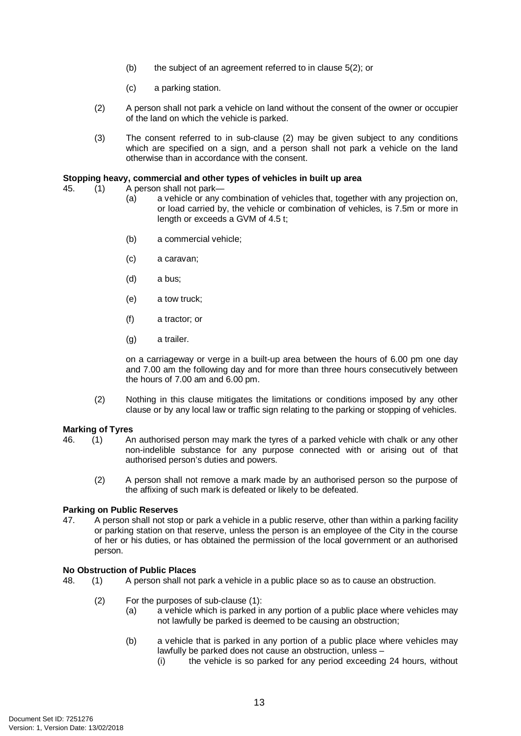- (b) the subject of an agreement referred to in clause 5(2); or
- (c) a parking station.
- (2) A person shall not park a vehicle on land without the consent of the owner or occupier of the land on which the vehicle is parked.
- (3) The consent referred to in sub-clause (2) may be given subject to any conditions which are specified on a sign, and a person shall not park a vehicle on the land otherwise than in accordance with the consent.

#### <span id="page-16-0"></span>**Stopping heavy, commercial and other types of vehicles in built up area**

- 45. (1) A person shall not park—
	- (a) a vehicle or any combination of vehicles that, together with any projection on, or load carried by, the vehicle or combination of vehicles, is 7.5m or more in length or exceeds a GVM of 4.5 t;
	- (b) a commercial vehicle;
	- (c) a caravan;
	- (d) a bus;
	- (e) a tow truck;
	- (f) a tractor; or
	- (g) a trailer.

on a carriageway or verge in a built-up area between the hours of 6.00 pm one day and 7.00 am the following day and for more than three hours consecutively between the hours of 7.00 am and 6.00 pm.

(2) Nothing in this clause mitigates the limitations or conditions imposed by any other clause or by any local law or traffic sign relating to the parking or stopping of vehicles.

#### <span id="page-16-1"></span>**Marking of Tyres**

- 46. (1) An authorised person may mark the tyres of a parked vehicle with chalk or any other non-indelible substance for any purpose connected with or arising out of that authorised person's duties and powers.
	- (2) A person shall not remove a mark made by an authorised person so the purpose of the affixing of such mark is defeated or likely to be defeated.

# <span id="page-16-2"></span>**Parking on Public Reserves**<br>47. A person shall not sto

47. A person shall not stop or park a vehicle in a public reserve, other than within a parking facility or parking station on that reserve, unless the person is an employee of the City in the course of her or his duties, or has obtained the permission of the local government or an authorised person.

### <span id="page-16-3"></span>**No Obstruction of Public Places**

- 48. (1) A person shall not park a vehicle in a public place so as to cause an obstruction.
	- (2) For the purposes of sub-clause (1):
		- (a) a vehicle which is parked in any portion of a public place where vehicles may not lawfully be parked is deemed to be causing an obstruction;
		- (b) a vehicle that is parked in any portion of a public place where vehicles may lawfully be parked does not cause an obstruction, unless –
			- (i) the vehicle is so parked for any period exceeding 24 hours, without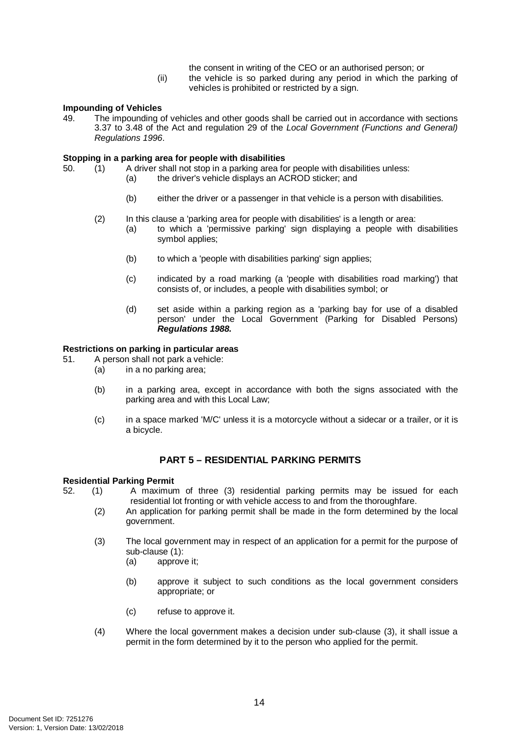- the consent in writing of the CEO or an authorised person; or
- (ii) the vehicle is so parked during any period in which the parking of vehicles is prohibited or restricted by a sign.

# <span id="page-17-0"></span>**Impounding of Vehicles**<br>49. The impounding of

The impounding of vehicles and other goods shall be carried out in accordance with sections 3.37 to 3.48 of the Act and regulation 29 of the *Local Government (Functions and General) Regulations 1996*.

#### <span id="page-17-1"></span>**Stopping in a parking area for people with disabilities**

- 50. (1) A driver shall not stop in a parking area for people with disabilities unless:
	- (a) the driver's vehicle displays an ACROD sticker; and
		- (b) either the driver or a passenger in that vehicle is a person with disabilities.
	- (2) In this clause a 'parking area for people with disabilities' is a length or area:
		- (a) to which a 'permissive parking' sign displaying a people with disabilities symbol applies;
		- (b) to which a 'people with disabilities parking' sign applies;
		- (c) indicated by a road marking (a 'people with disabilities road marking') that consists of, or includes, a people with disabilities symbol; or
		- (d) set aside within a parking region as a 'parking bay for use of a disabled person' under the Local Government (Parking for Disabled Persons) *Regulations 1988.*

# <span id="page-17-2"></span>**Restrictions on parking in particular areas**

- A person shall not park a vehicle:
	- (a) in a no parking area;
	- (b) in a parking area, except in accordance with both the signs associated with the parking area and with this Local Law;
	- (c) in a space marked 'M/C' unless it is a motorcycle without a sidecar or a trailer, or it is a bicycle.

### **PART 5 – RESIDENTIAL PARKING PERMITS**

#### <span id="page-17-4"></span><span id="page-17-3"></span>**Residential Parking Permit**

- 52. (1) A maximum of three (3) residential parking permits may be issued for each residential lot fronting or with vehicle access to and from the thoroughfare.
	- (2) An application for parking permit shall be made in the form determined by the local government.
	- (3) The local government may in respect of an application for a permit for the purpose of sub-clause (1):
		- (a) approve it;
		- (b) approve it subject to such conditions as the local government considers appropriate; or
		- (c) refuse to approve it.
	- (4) Where the local government makes a decision under sub-clause (3), it shall issue a permit in the form determined by it to the person who applied for the permit.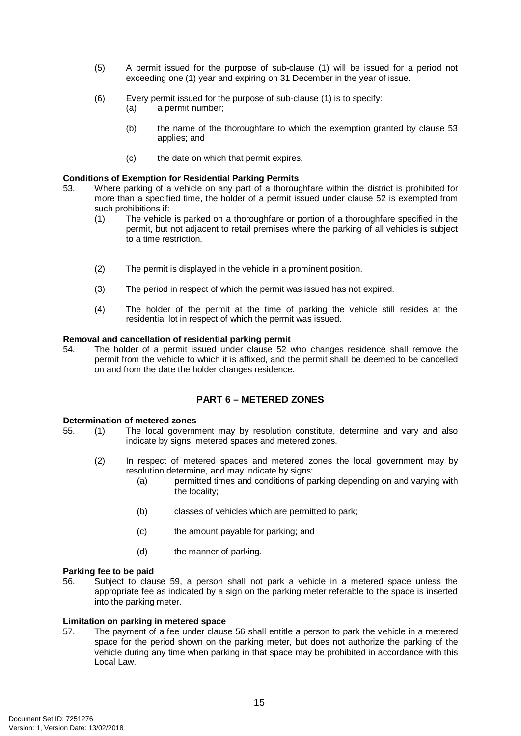- (5) A permit issued for the purpose of sub-clause (1) will be issued for a period not exceeding one (1) year and expiring on 31 December in the year of issue.
- (6) Every permit issued for the purpose of sub-clause (1) is to specify:
	- (a) a permit number;
	- (b) the name of the thoroughfare to which the exemption granted by clause 53 applies; and
	- (c) the date on which that permit expires.

#### <span id="page-18-0"></span>**Conditions of Exemption for Residential Parking Permits**

- 53. Where parking of a vehicle on any part of a thoroughfare within the district is prohibited for more than a specified time, the holder of a permit issued under clause 52 is exempted from such prohibitions if:
	- (1) The vehicle is parked on a thoroughfare or portion of a thoroughfare specified in the permit, but not adjacent to retail premises where the parking of all vehicles is subject to a time restriction.
	- (2) The permit is displayed in the vehicle in a prominent position.
	- (3) The period in respect of which the permit was issued has not expired.
	- (4) The holder of the permit at the time of parking the vehicle still resides at the residential lot in respect of which the permit was issued.

# <span id="page-18-1"></span>**Removal and cancellation of residential parking permit**<br>54. The holder of a permit issued under clause 52 v

The holder of a permit issued under clause 52 who changes residence shall remove the permit from the vehicle to which it is affixed, and the permit shall be deemed to be cancelled on and from the date the holder changes residence.

## **PART 6 – METERED ZONES**

# <span id="page-18-3"></span><span id="page-18-2"></span>**Determination of metered zones**<br>55. (1) The local governr

- 55. (1) The local government may by resolution constitute, determine and vary and also indicate by signs, metered spaces and metered zones.
	- (2) In respect of metered spaces and metered zones the local government may by resolution determine, and may indicate by signs:
		- (a) permitted times and conditions of parking depending on and varying with the locality;
		- (b) classes of vehicles which are permitted to park;
		- (c) the amount payable for parking; and
		- (d) the manner of parking.

#### <span id="page-18-4"></span>**Parking fee to be paid**

56. Subject to clause 59, a person shall not park a vehicle in a metered space unless the appropriate fee as indicated by a sign on the parking meter referable to the space is inserted into the parking meter.

#### <span id="page-18-5"></span>**Limitation on parking in metered space**

57. The payment of a fee under clause 56 shall entitle a person to park the vehicle in a metered space for the period shown on the parking meter, but does not authorize the parking of the vehicle during any time when parking in that space may be prohibited in accordance with this Local Law.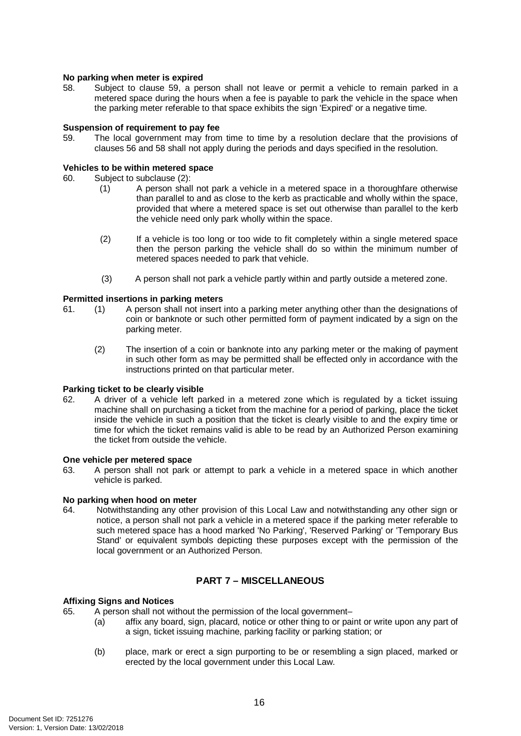### <span id="page-19-0"></span>**No parking when meter is expired**

58. Subject to clause 59, a person shall not leave or permit a vehicle to remain parked in a metered space during the hours when a fee is payable to park the vehicle in the space when the parking meter referable to that space exhibits the sign 'Expired' or a negative time.

# <span id="page-19-1"></span>**Suspension of requirement to pay fee**<br>59. The local government may from

The local government may from time to time by a resolution declare that the provisions of clauses 56 and 58 shall not apply during the periods and days specified in the resolution.

#### <span id="page-19-2"></span>**Vehicles to be within metered space**

- 60. Subject to subclause (2):<br>(1) A person shall
	- A person shall not park a vehicle in a metered space in a thoroughfare otherwise than parallel to and as close to the kerb as practicable and wholly within the space, provided that where a metered space is set out otherwise than parallel to the kerb the vehicle need only park wholly within the space.
	- (2) If a vehicle is too long or too wide to fit completely within a single metered space then the person parking the vehicle shall do so within the minimum number of metered spaces needed to park that vehicle.
	- (3) A person shall not park a vehicle partly within and partly outside a metered zone.

#### <span id="page-19-3"></span>**Permitted insertions in parking meters**

- 61. (1) A person shall not insert into a parking meter anything other than the designations of coin or banknote or such other permitted form of payment indicated by a sign on the parking meter.
	- (2) The insertion of a coin or banknote into any parking meter or the making of payment in such other form as may be permitted shall be effected only in accordance with the instructions printed on that particular meter.

#### <span id="page-19-4"></span>**Parking ticket to be clearly visible**

62. A driver of a vehicle left parked in a metered zone which is regulated by a ticket issuing machine shall on purchasing a ticket from the machine for a period of parking, place the ticket inside the vehicle in such a position that the ticket is clearly visible to and the expiry time or time for which the ticket remains valid is able to be read by an Authorized Person examining the ticket from outside the vehicle.

#### <span id="page-19-5"></span>**One vehicle per metered space**

63. A person shall not park or attempt to park a vehicle in a metered space in which another vehicle is parked.

# <span id="page-19-6"></span>**No parking when hood on meter**<br>64. Notwithstanding any other

Notwithstanding any other provision of this Local Law and notwithstanding any other sign or notice, a person shall not park a vehicle in a metered space if the parking meter referable to such metered space has a hood marked 'No Parking', 'Reserved Parking' or 'Temporary Bus Stand' or equivalent symbols depicting these purposes except with the permission of the local government or an Authorized Person.

# **PART 7 – MISCELLANEOUS**

#### <span id="page-19-8"></span><span id="page-19-7"></span>**Affixing Signs and Notices**

- 65. A person shall not without the permission of the local government–
	- (a) affix any board, sign, placard, notice or other thing to or paint or write upon any part of a sign, ticket issuing machine, parking facility or parking station; or
	- (b) place, mark or erect a sign purporting to be or resembling a sign placed, marked or erected by the local government under this Local Law.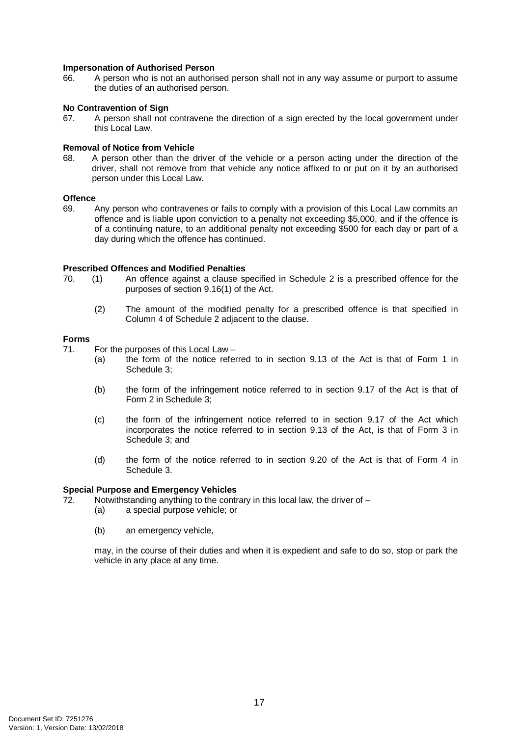#### <span id="page-20-0"></span>**Impersonation of Authorised Person**

66. A person who is not an authorised person shall not in any way assume or purport to assume the duties of an authorised person.

#### <span id="page-20-1"></span>**No Contravention of Sign**

67. A person shall not contravene the direction of a sign erected by the local government under this Local Law.

# <span id="page-20-2"></span>**Removal of Notice from Vehicle**<br>68. A person other than the c

68. A person other than the driver of the vehicle or a person acting under the direction of the driver, shall not remove from that vehicle any notice affixed to or put on it by an authorised person under this Local Law.

# <span id="page-20-3"></span>Offence

69. Any person who contravenes or fails to comply with a provision of this Local Law commits an offence and is liable upon conviction to a penalty not exceeding \$5,000, and if the offence is of a continuing nature, to an additional penalty not exceeding \$500 for each day or part of a day during which the offence has continued.

# <span id="page-20-4"></span>**Prescribed Offences and Modified Penalties**<br>70. (1) An offence against a clause so

- 70. (1) An offence against a clause specified in Schedule 2 is a prescribed offence for the purposes of section 9.16(1) of the Act.
	- (2) The amount of the modified penalty for a prescribed offence is that specified in Column 4 of Schedule 2 adjacent to the clause.

# <span id="page-20-5"></span>**Forms**

For the purposes of this Local Law –

- (a) the form of the notice referred to in section 9.13 of the Act is that of Form 1 in Schedule 3;
- (b) the form of the infringement notice referred to in section 9.17 of the Act is that of Form 2 in Schedule 3;
- (c) the form of the infringement notice referred to in section 9.17 of the Act which incorporates the notice referred to in section 9.13 of the Act, is that of Form 3 in Schedule 3; and
- (d) the form of the notice referred to in section 9.20 of the Act is that of Form 4 in Schedule 3.

#### <span id="page-20-6"></span>**Special Purpose and Emergency Vehicles**

- 72. Notwithstanding anything to the contrary in this local law, the driver of  $-$ 
	- (a) a special purpose vehicle; or
	- (b) an emergency vehicle,

may, in the course of their duties and when it is expedient and safe to do so, stop or park the vehicle in any place at any time.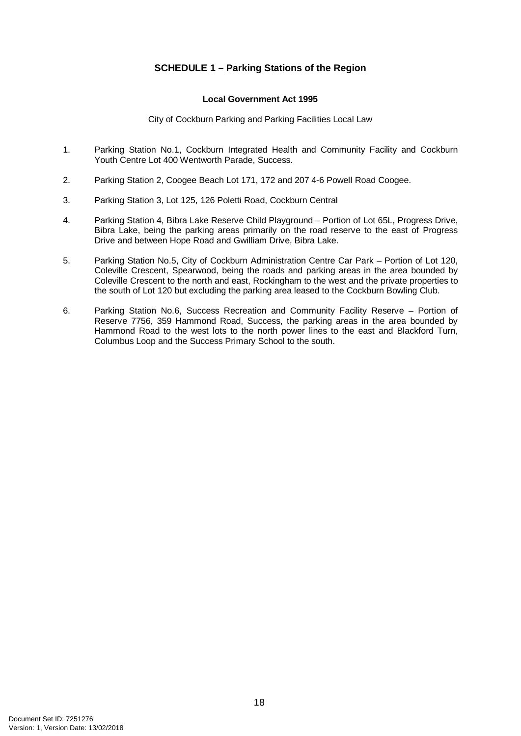# **SCHEDULE 1 – Parking Stations of the Region**

### **Local Government Act 1995**

City of Cockburn Parking and Parking Facilities Local Law

- <span id="page-21-0"></span>1. Parking Station No.1, Cockburn Integrated Health and Community Facility and Cockburn Youth Centre Lot 400 Wentworth Parade, Success.
- 2. Parking Station 2, Coogee Beach Lot 171, 172 and 207 4-6 Powell Road Coogee.
- 3. Parking Station 3, Lot 125, 126 Poletti Road, Cockburn Central
- 4. Parking Station 4, Bibra Lake Reserve Child Playground Portion of Lot 65L, Progress Drive, Bibra Lake, being the parking areas primarily on the road reserve to the east of Progress Drive and between Hope Road and Gwilliam Drive, Bibra Lake.
- 5. Parking Station No.5, City of Cockburn Administration Centre Car Park Portion of Lot 120, Coleville Crescent, Spearwood, being the roads and parking areas in the area bounded by Coleville Crescent to the north and east, Rockingham to the west and the private properties to the south of Lot 120 but excluding the parking area leased to the Cockburn Bowling Club.
- 6. Parking Station No.6, Success Recreation and Community Facility Reserve Portion of Reserve 7756, 359 Hammond Road, Success, the parking areas in the area bounded by Hammond Road to the west lots to the north power lines to the east and Blackford Turn, Columbus Loop and the Success Primary School to the south.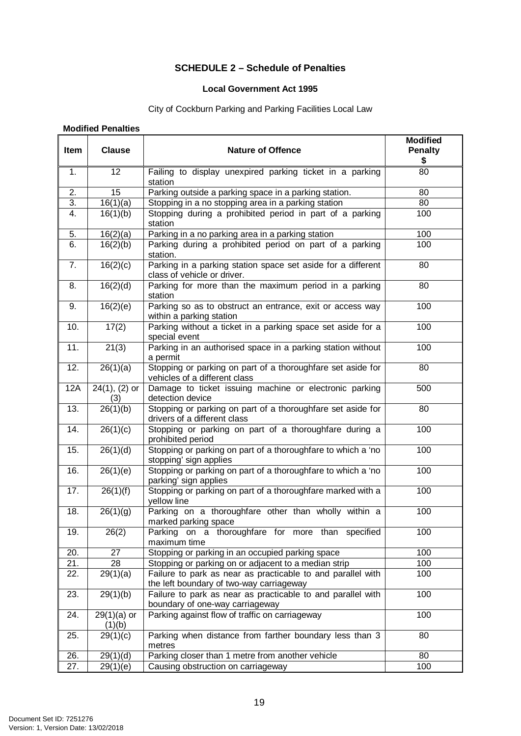# **SCHEDULE 2 – Schedule of Penalties**

### **Local Government Act 1995**

# City of Cockburn Parking and Parking Facilities Local Law

### <span id="page-22-0"></span>**Modified Penalties**

| Item              | <b>Clause</b>           | <b>Nature of Offence</b>                                                                                       | <b>Modified</b><br><b>Penalty</b><br>\$ |  |  |  |
|-------------------|-------------------------|----------------------------------------------------------------------------------------------------------------|-----------------------------------------|--|--|--|
| 1.                | 12                      | Failing to display unexpired parking ticket in a parking<br>station                                            | 80                                      |  |  |  |
| 2.                | 15                      | Parking outside a parking space in a parking station.                                                          | 80                                      |  |  |  |
| $\overline{3}$ .  | 16(1)(a)                | Stopping in a no stopping area in a parking station                                                            | 80                                      |  |  |  |
| $\overline{4}$ .  | 16(1)(b)                | Stopping during a prohibited period in part of a parking<br>station                                            | 100                                     |  |  |  |
| $\overline{5}$ .  | 16(2)(a)                | Parking in a no parking area in a parking station                                                              | 100                                     |  |  |  |
| 6.                | 16(2)(b)                | Parking during a prohibited period on part of a parking<br>station.                                            | 100                                     |  |  |  |
| 7.                | 16(2)(c)                | Parking in a parking station space set aside for a different<br>class of vehicle or driver.                    | 80                                      |  |  |  |
| 8.                | 16(2)(d)                | Parking for more than the maximum period in a parking<br>station                                               | 80                                      |  |  |  |
| 9.                | 16(2)(e)                | Parking so as to obstruct an entrance, exit or access way<br>within a parking station                          | 100                                     |  |  |  |
| 10.               | $\overline{17(2)}$      | Parking without a ticket in a parking space set aside for a<br>special event                                   | 100                                     |  |  |  |
| 11.               | 21(3)                   | Parking in an authorised space in a parking station without<br>100<br>a permit                                 |                                         |  |  |  |
| $\overline{12}$ . | 26(1)(a)                | Stopping or parking on part of a thoroughfare set aside for<br>80<br>vehicles of a different class             |                                         |  |  |  |
| 12A               | $24(1), (2)$ or<br>(3)  | Damage to ticket issuing machine or electronic parking<br>500<br>detection device                              |                                         |  |  |  |
| 13.               | 26(1)(b)                | Stopping or parking on part of a thoroughfare set aside for<br>80<br>drivers of a different class              |                                         |  |  |  |
| 14.               | 26(1)(c)                | Stopping or parking on part of a thoroughfare during a<br>100<br>prohibited period                             |                                         |  |  |  |
| 15.               | 26(1)(d)                | Stopping or parking on part of a thoroughfare to which a 'no<br>100<br>stopping' sign applies                  |                                         |  |  |  |
| 16.               | 26(1)(e)                | Stopping or parking on part of a thoroughfare to which a 'no<br>100<br>parking' sign applies                   |                                         |  |  |  |
| 17.               | 26(1)(f)                | Stopping or parking on part of a thoroughfare marked with a<br>yellow line                                     | 100                                     |  |  |  |
| 18.               | 26(1)(g)                | Parking on a thoroughfare other than wholly within a<br>marked parking space                                   | 100                                     |  |  |  |
| 19.               | 26(2)                   | Parking on a thoroughfare for more than specified<br>maximum time                                              | 100                                     |  |  |  |
| 20.               | 27                      | Stopping or parking in an occupied parking space                                                               | 100                                     |  |  |  |
| $\overline{2}1$ . | 28                      | Stopping or parking on or adjacent to a median strip                                                           | 100                                     |  |  |  |
| 22.               | 29(1)(a)                | Failure to park as near as practicable to and parallel with<br>100<br>the left boundary of two-way carriageway |                                         |  |  |  |
| 23.               | 29(1)(b)                | 100<br>Failure to park as near as practicable to and parallel with<br>boundary of one-way carriageway          |                                         |  |  |  |
| 24.               | $29(1)(a)$ or<br>(1)(b) | Parking against flow of traffic on carriageway<br>100                                                          |                                         |  |  |  |
| 25.               | 29(1)(c)                | Parking when distance from farther boundary less than 3<br>80<br>metres                                        |                                         |  |  |  |
| 26.               | $\overline{29(1)(d)}$   | Parking closer than 1 metre from another vehicle                                                               | 80                                      |  |  |  |
| 27.               | 29(1)(e)                | Causing obstruction on carriageway                                                                             | 100                                     |  |  |  |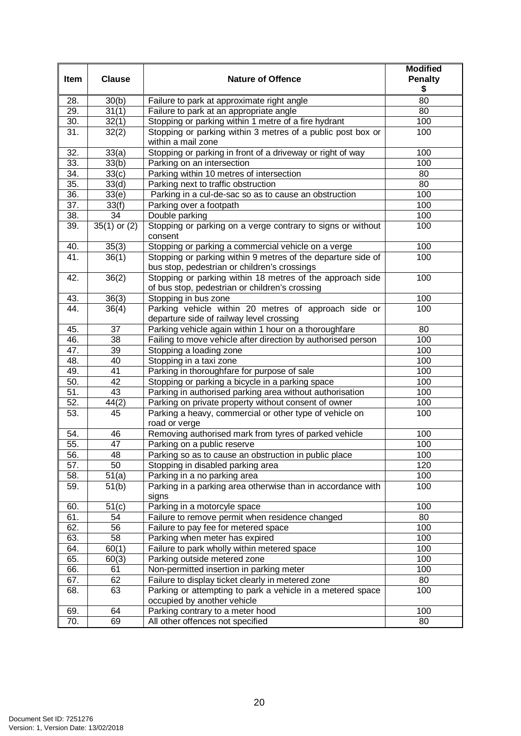| Item | <b>Clause</b>                                                                                                        | <b>Nature of Offence</b>                                                                                     | <b>Modified</b><br><b>Penalty</b><br>\$ |  |
|------|----------------------------------------------------------------------------------------------------------------------|--------------------------------------------------------------------------------------------------------------|-----------------------------------------|--|
| 28.  | 30(b)                                                                                                                | Failure to park at approximate right angle                                                                   |                                         |  |
| 29.  | 31(1)                                                                                                                | Failure to park at an appropriate angle                                                                      | 80                                      |  |
| 30.  | 32(1)                                                                                                                | Stopping or parking within 1 metre of a fire hydrant                                                         | 100                                     |  |
| 31.  | 32(2)                                                                                                                | Stopping or parking within 3 metres of a public post box or<br>within a mail zone                            | 100                                     |  |
| 32.  | 33(a)                                                                                                                | Stopping or parking in front of a driveway or right of way                                                   | 100                                     |  |
| 33.  | 33(b)                                                                                                                | Parking on an intersection                                                                                   | 100                                     |  |
| 34.  | 33(c)                                                                                                                | Parking within 10 metres of intersection                                                                     | 80                                      |  |
| 35.  | 33(d)                                                                                                                | Parking next to traffic obstruction                                                                          | 80                                      |  |
| 36.  | 33(e)                                                                                                                | Parking in a cul-de-sac so as to cause an obstruction                                                        | 100                                     |  |
| 37.  | 33(f)                                                                                                                | Parking over a footpath                                                                                      | 100                                     |  |
| 38.  | 34                                                                                                                   | Double parking                                                                                               | 100                                     |  |
| 39.  | $35(1)$ or $(2)$                                                                                                     | Stopping or parking on a verge contrary to signs or without<br>consent                                       | 100                                     |  |
| 40.  | 35(3)                                                                                                                | Stopping or parking a commercial vehicle on a verge                                                          | 100                                     |  |
| 41.  | 36(1)                                                                                                                | Stopping or parking within 9 metres of the departure side of<br>bus stop, pedestrian or children's crossings | 100                                     |  |
| 42.  | Stopping or parking within 18 metres of the approach side<br>36(2)<br>of bus stop, pedestrian or children's crossing |                                                                                                              | 100                                     |  |
| 43.  | 36(3)                                                                                                                | Stopping in bus zone                                                                                         | 100                                     |  |
| 44.  | 36(4)                                                                                                                | Parking vehicle within 20 metres of approach side or<br>departure side of railway level crossing             |                                         |  |
| 45.  | 37                                                                                                                   | Parking vehicle again within 1 hour on a thoroughfare                                                        | 80                                      |  |
| 46.  | 38<br>Failing to move vehicle after direction by authorised person                                                   |                                                                                                              | 100                                     |  |
| 47.  | 39                                                                                                                   | Stopping a loading zone                                                                                      |                                         |  |
| 48.  | 40                                                                                                                   | Stopping in a taxi zone                                                                                      | 100                                     |  |
| 49.  | 41                                                                                                                   | Parking in thoroughfare for purpose of sale                                                                  | 100                                     |  |
| 50.  | 42                                                                                                                   | Stopping or parking a bicycle in a parking space                                                             | 100                                     |  |
| 51.  | 43                                                                                                                   | Parking in authorised parking area without authorisation                                                     | 100                                     |  |
| 52.  | 44(2)                                                                                                                | Parking on private property without consent of owner                                                         | 100                                     |  |
| 53.  | 45                                                                                                                   | Parking a heavy, commercial or other type of vehicle on<br>road or verge                                     | 100                                     |  |
| 54.  | 46                                                                                                                   | Removing authorised mark from tyres of parked vehicle                                                        | 100                                     |  |
| 55.  | 47                                                                                                                   | Parking on a public reserve                                                                                  | 100                                     |  |
| 56.  | 48                                                                                                                   | Parking so as to cause an obstruction in public place                                                        | 100                                     |  |
| 57.  | 50<br>Stopping in disabled parking area                                                                              |                                                                                                              | 120                                     |  |
| 58.  | 51(a)<br>Parking in a no parking area                                                                                |                                                                                                              | 100                                     |  |
| 59.  | Parking in a parking area otherwise than in accordance with<br>51(b)<br>signs                                        |                                                                                                              | 100                                     |  |
| 60.  | 51(c)                                                                                                                | Parking in a motorcyle space                                                                                 | 100                                     |  |
| 61.  | 54                                                                                                                   | Failure to remove permit when residence changed                                                              | 80                                      |  |
| 62.  | 56                                                                                                                   | Failure to pay fee for metered space                                                                         | 100                                     |  |
| 63.  | 58                                                                                                                   | Parking when meter has expired                                                                               |                                         |  |
| 64.  | 60(1)                                                                                                                | Failure to park wholly within metered space                                                                  | 100                                     |  |
| 65.  | 60(3)                                                                                                                | Parking outside metered zone                                                                                 | 100                                     |  |
| 66.  | 61                                                                                                                   | Non-permitted insertion in parking meter                                                                     | 100                                     |  |
| 67.  | 62                                                                                                                   | Failure to display ticket clearly in metered zone                                                            | 80                                      |  |
| 68.  | 63                                                                                                                   | Parking or attempting to park a vehicle in a metered space<br>occupied by another vehicle                    | 100                                     |  |
| 69.  | 64                                                                                                                   | Parking contrary to a meter hood                                                                             | 100                                     |  |
| 70.  | 69                                                                                                                   | All other offences not specified                                                                             | 80                                      |  |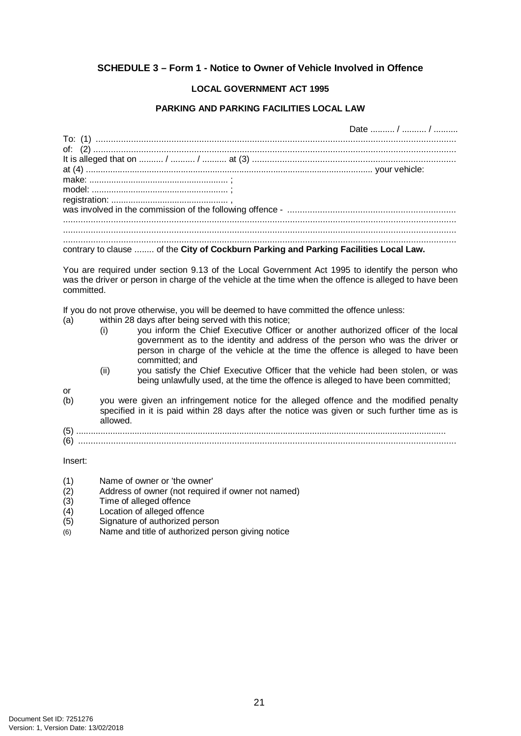# <span id="page-24-0"></span>**SCHEDULE 3 – Form 1 - Notice to Owner of Vehicle Involved in Offence**

## **LOCAL GOVERNMENT ACT 1995**

## **PARKING AND PARKING FACILITIES LOCAL LAW**

|  | Date  /  /                                                                            |
|--|---------------------------------------------------------------------------------------|
|  |                                                                                       |
|  |                                                                                       |
|  |                                                                                       |
|  |                                                                                       |
|  |                                                                                       |
|  |                                                                                       |
|  |                                                                                       |
|  |                                                                                       |
|  |                                                                                       |
|  |                                                                                       |
|  |                                                                                       |
|  | contrary to clause  of the City of Cockburn Parking and Parking Facilities Local Law. |

You are required under section 9.13 of the Local Government Act 1995 to identify the person who was the driver or person in charge of the vehicle at the time when the offence is alleged to have been committed.

If you do not prove otherwise, you will be deemed to have committed the offence unless:<br>(a) within 28 days after being served with this notice:

- within 28 days after being served with this notice;
	- (i) you inform the Chief Executive Officer or another authorized officer of the local government as to the identity and address of the person who was the driver or person in charge of the vehicle at the time the offence is alleged to have been committed; and
	- (ii) you satisfy the Chief Executive Officer that the vehicle had been stolen, or was being unlawfully used, at the time the offence is alleged to have been committed;
- 
- or<br>(b) you were given an infringement notice for the alleged offence and the modified penalty specified in it is paid within 28 days after the notice was given or such further time as is allowed.
- (5) ........................................................................................................................................................ (6) ......................................................................................................................................................

Insert:

- (1) Name of owner or 'the owner'
- (2) Address of owner (not required if owner not named)
- Time of alleged offence
- $(4)$  Location of alleged offence<br>(5) Signature of authorized per
- Signature of authorized person
- $(6)$  Name and title of authorized person giving notice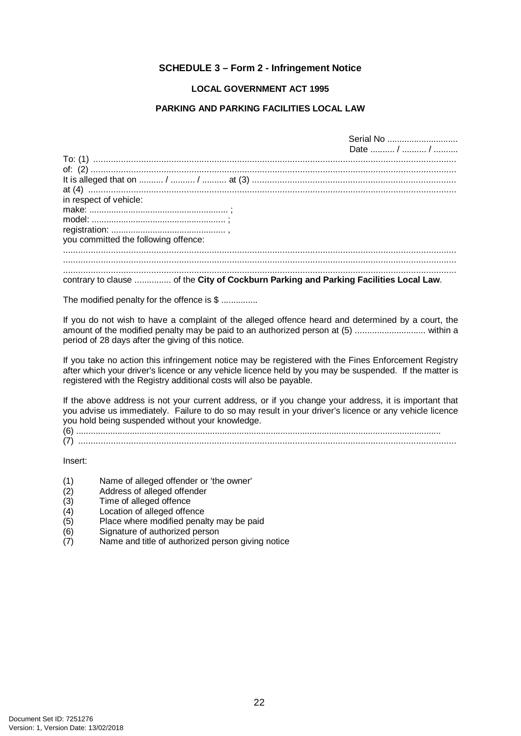## **SCHEDULE 3 – Form 2 - Infringement Notice**

### **LOCAL GOVERNMENT ACT 1995**

#### **PARKING AND PARKING FACILITIES LOCAL LAW**

<span id="page-25-0"></span>

|                                                                                       | Serial No  |  |
|---------------------------------------------------------------------------------------|------------|--|
|                                                                                       | Date  /  / |  |
|                                                                                       |            |  |
|                                                                                       |            |  |
|                                                                                       |            |  |
|                                                                                       |            |  |
| in respect of vehicle:                                                                |            |  |
|                                                                                       |            |  |
|                                                                                       |            |  |
|                                                                                       |            |  |
| you committed the following offence:                                                  |            |  |
|                                                                                       |            |  |
|                                                                                       |            |  |
| contrary to clause  of the City of Cockburn Parking and Parking Facilities Local Law. |            |  |
|                                                                                       |            |  |

The modified penalty for the offence is \$ ...............

If you do not wish to have a complaint of the alleged offence heard and determined by a court, the amount of the modified penalty may be paid to an authorized person at (5) ............................. within a period of 28 days after the giving of this notice.

If you take no action this infringement notice may be registered with the Fines Enforcement Registry after which your driver's licence or any vehicle licence held by you may be suspended. If the matter is registered with the Registry additional costs will also be payable.

If the above address is not your current address, or if you change your address, it is important that you advise us immediately. Failure to do so may result in your driver's licence or any vehicle licence you hold being suspended without your knowledge.

(6) ......................................................................................................................................................

(7) ......................................................................................................................................................

Insert:

- (1) Name of alleged offender or 'the owner'
- (2) Address of alleged offender<br>(3) Time of alleged offence
- (3) Time of alleged offence<br>(4) Location of alleged offer
- $(4)$  Location of alleged offence<br>(5) Place where modified pena
- $(5)$  Place where modified penalty may be paid  $(6)$  Signature of authorized person
- Signature of authorized person
- (7) Name and title of authorized person giving notice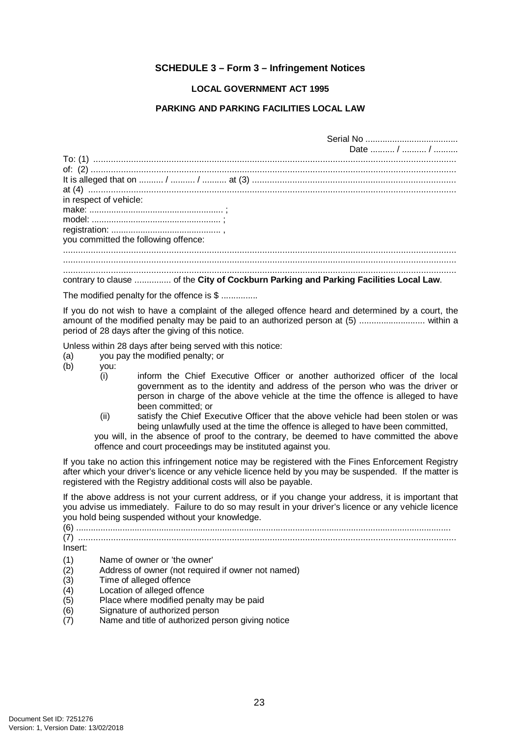## **SCHEDULE 3 – Form 3 – Infringement Notices**

#### **LOCAL GOVERNMENT ACT 1995**

#### **PARKING AND PARKING FACILITIES LOCAL LAW**

<span id="page-26-0"></span>

|                                      | Date  /  /                                                                            |
|--------------------------------------|---------------------------------------------------------------------------------------|
|                                      |                                                                                       |
|                                      |                                                                                       |
|                                      |                                                                                       |
|                                      |                                                                                       |
| in respect of vehicle:               |                                                                                       |
|                                      |                                                                                       |
|                                      |                                                                                       |
|                                      |                                                                                       |
| you committed the following offence: |                                                                                       |
|                                      |                                                                                       |
|                                      |                                                                                       |
|                                      |                                                                                       |
|                                      | contrary to clause  of the City of Cockburn Parking and Parking Facilities Local Law. |

The modified penalty for the offence is \$ ...............

If you do not wish to have a complaint of the alleged offence heard and determined by a court, the amount of the modified penalty may be paid to an authorized person at (5) ........................... within a period of 28 days after the giving of this notice.

Unless within 28 days after being served with this notice:

- (a) you pay the modified penalty; or <br>(b) you:
- vou:
	- (i) inform the Chief Executive Officer or another authorized officer of the local government as to the identity and address of the person who was the driver or person in charge of the above vehicle at the time the offence is alleged to have been committed; or
	- (ii) satisfy the Chief Executive Officer that the above vehicle had been stolen or was being unlawfully used at the time the offence is alleged to have been committed,

you will, in the absence of proof to the contrary, be deemed to have committed the above offence and court proceedings may be instituted against you.

If you take no action this infringement notice may be registered with the Fines Enforcement Registry after which your driver's licence or any vehicle licence held by you may be suspended. If the matter is registered with the Registry additional costs will also be payable.

If the above address is not your current address, or if you change your address, it is important that you advise us immediately. Failure to do so may result in your driver's licence or any vehicle licence you hold being suspended without your knowledge.

(6) .......................................................................................................................................................... (7) ...................................................................................................................................................... Insert: (1) Name of owner or 'the owner'

- (2) Address of owner (not required if owner not named)
- 
- (3) Time of alleged offence<br>(4) Location of alleged offer Location of alleged offence
- (5) Place where modified penalty may be paid
- (6) Signature of authorized person
- (7) Name and title of authorized person giving notice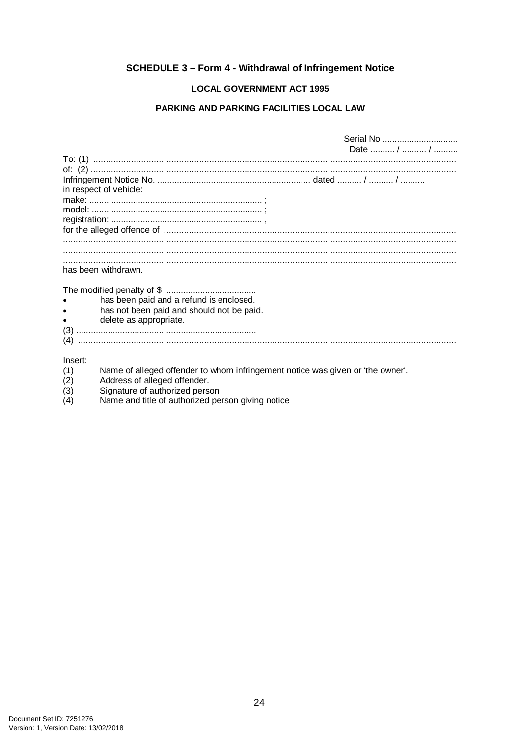# <span id="page-27-0"></span>**SCHEDULE 3 - Form 4 - Withdrawal of Infringement Notice**

### **LOCAL GOVERNMENT ACT 1995**

#### PARKING AND PARKING FACILITIES LOCAL LAW

|                                                                                                                                                                                                                                                                                                                                          | Date  /  / |
|------------------------------------------------------------------------------------------------------------------------------------------------------------------------------------------------------------------------------------------------------------------------------------------------------------------------------------------|------------|
|                                                                                                                                                                                                                                                                                                                                          |            |
| To: (1) $\ldots$ $\ldots$ $\ldots$ $\ldots$ $\ldots$ $\ldots$ $\ldots$ $\ldots$ $\ldots$ $\ldots$ $\ldots$ $\ldots$ $\ldots$ $\ldots$ $\ldots$ $\ldots$ $\ldots$ $\ldots$ $\ldots$ $\ldots$ $\ldots$ $\ldots$ $\ldots$ $\ldots$ $\ldots$ $\ldots$ $\ldots$ $\ldots$ $\ldots$ $\ldots$ $\ldots$ $\ldots$ $\ldots$ $\ldots$ $\ldots$ $\ld$ |            |
|                                                                                                                                                                                                                                                                                                                                          |            |
| in respect of vehicle:                                                                                                                                                                                                                                                                                                                   |            |
|                                                                                                                                                                                                                                                                                                                                          |            |
|                                                                                                                                                                                                                                                                                                                                          |            |
|                                                                                                                                                                                                                                                                                                                                          |            |
|                                                                                                                                                                                                                                                                                                                                          |            |
|                                                                                                                                                                                                                                                                                                                                          |            |
|                                                                                                                                                                                                                                                                                                                                          |            |
|                                                                                                                                                                                                                                                                                                                                          |            |
|                                                                                                                                                                                                                                                                                                                                          |            |
| has been withdrawn.                                                                                                                                                                                                                                                                                                                      |            |
|                                                                                                                                                                                                                                                                                                                                          |            |
|                                                                                                                                                                                                                                                                                                                                          |            |
| has been paid and a refund is enclosed.                                                                                                                                                                                                                                                                                                  |            |
| has not been paid and should not be paid.                                                                                                                                                                                                                                                                                                |            |
| delete as appropriate.                                                                                                                                                                                                                                                                                                                   |            |
|                                                                                                                                                                                                                                                                                                                                          |            |
|                                                                                                                                                                                                                                                                                                                                          |            |
|                                                                                                                                                                                                                                                                                                                                          |            |
|                                                                                                                                                                                                                                                                                                                                          |            |
| Insert:<br>.                                                                                                                                                                                                                                                                                                                             |            |

- Name of alleged offender to whom infringement notice was given or 'the owner'. Address of alleged offender.  $\binom{1}{2}$
- 
- $\binom{(-)}{(3)}$ <br>(4) Signature of authorized person
- Name and title of authorized person giving notice